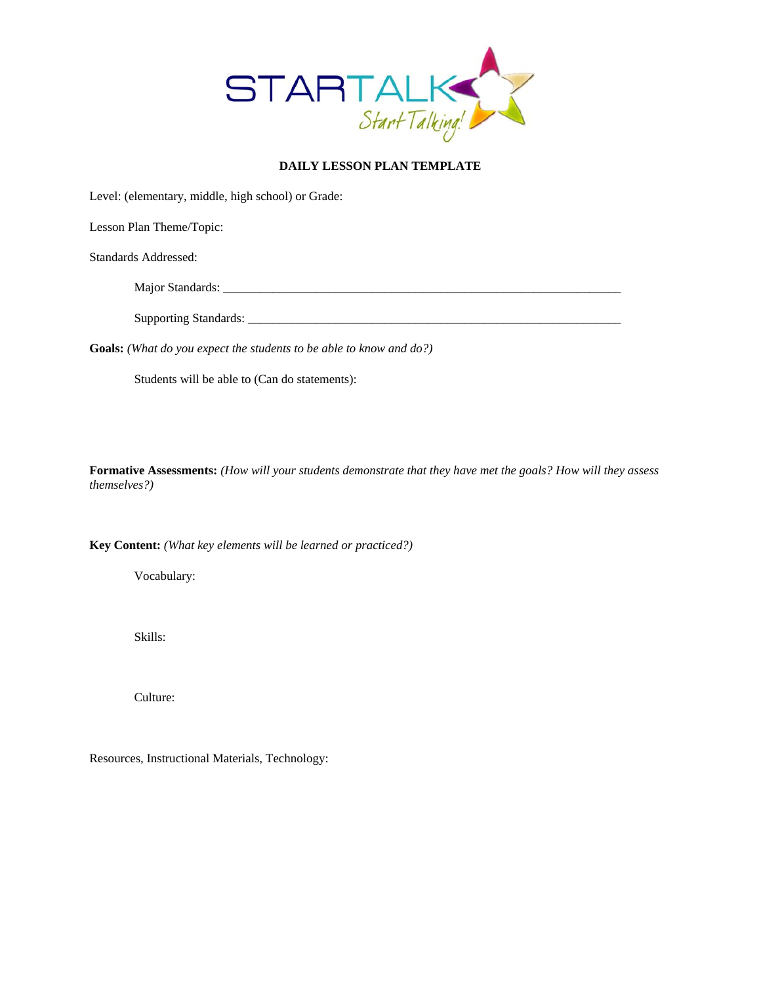

# **DAILY LESSON PLAN TEMPLATE**

Level: (elementary, middle, high school) or Grade:

Lesson Plan Theme/Topic:

Standards Addressed:

Major Standards: \_\_\_\_\_\_\_\_\_\_\_\_\_\_\_\_\_\_\_\_\_\_\_\_\_\_\_\_\_\_\_\_\_\_\_\_\_\_\_\_\_\_\_\_\_\_\_\_\_\_\_\_\_\_\_\_\_\_\_\_\_\_\_\_

Supporting Standards: \_\_\_\_\_\_\_\_\_\_\_\_\_\_\_\_\_\_\_\_\_\_\_\_\_\_\_\_\_\_\_\_\_\_\_\_\_\_\_\_\_\_\_\_\_\_\_\_\_\_\_\_\_\_\_\_\_\_\_\_

**Goals:** *(What do you expect the students to be able to know and do?)*

Students will be able to (Can do statements):

**Formative Assessments:** *(How will your students demonstrate that they have met the goals? How will they assess themselves?)* 

**Key Content:** *(What key elements will be learned or practiced?)* 

Vocabulary:

Skills:

Culture:

Resources, Instructional Materials, Technology: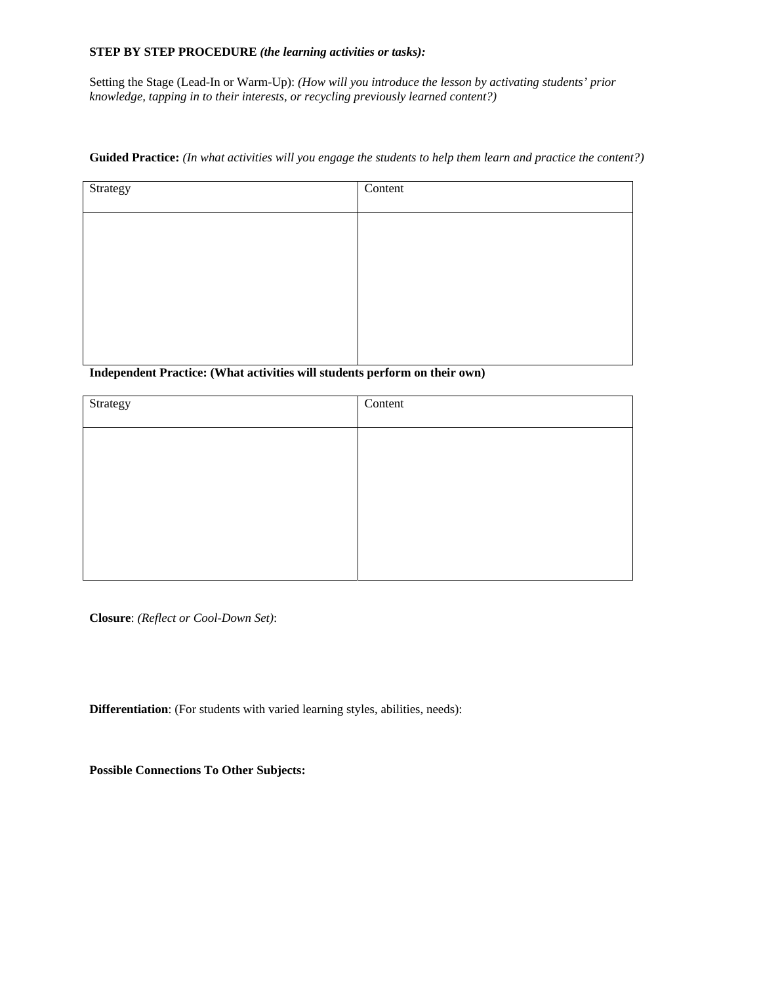## **STEP BY STEP PROCEDURE** *(the learning activities or tasks):*

Setting the Stage (Lead-In or Warm-Up): *(How will you introduce the lesson by activating students' prior knowledge, tapping in to their interests, or recycling previously learned content?)* 

| Strategy | Content |
|----------|---------|
|          |         |
|          |         |
|          |         |
|          |         |
|          |         |
|          |         |
|          |         |

**Guided Practice:** *(In what activities will you engage the students to help them learn and practice the content?)* 

# **Independent Practice: (What activities will students perform on their own)**

| Strategy | Content |
|----------|---------|
|          |         |
|          |         |
|          |         |
|          |         |
|          |         |
|          |         |

**Closure**: *(Reflect or Cool-Down Set)*:

**Differentiation**: (For students with varied learning styles, abilities, needs):

**Possible Connections To Other Subjects:**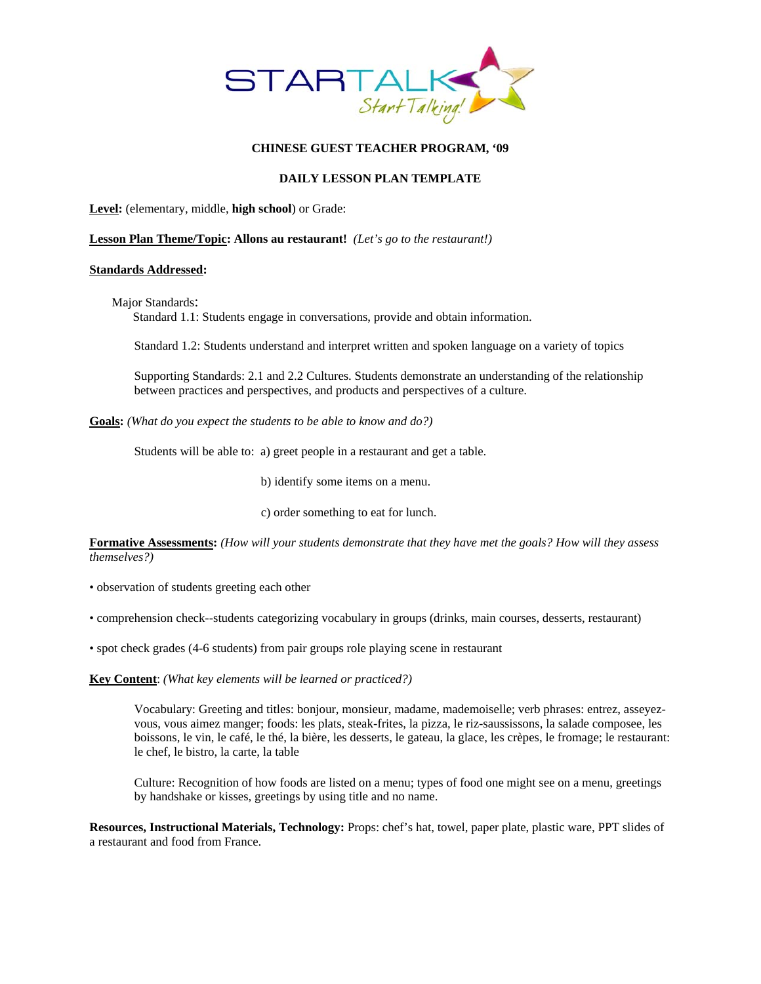

## **CHINESE GUEST TEACHER PROGRAM, '09**

## **DAILY LESSON PLAN TEMPLATE**

**Level:** (elementary, middle, **high school**) or Grade:

**Lesson Plan Theme/Topic: Allons au restaurant!** *(Let's go to the restaurant!)*

#### **Standards Addressed:**

Major Standards: Standard 1.1: Students engage in conversations, provide and obtain information.

Standard 1.2: Students understand and interpret written and spoken language on a variety of topics

Supporting Standards: 2.1 and 2.2 Cultures. Students demonstrate an understanding of the relationship between practices and perspectives, and products and perspectives of a culture.

**Goals:** *(What do you expect the students to be able to know and do?)*

Students will be able to: a) greet people in a restaurant and get a table.

b) identify some items on a menu.

c) order something to eat for lunch.

**Formative Assessments:** *(How will your students demonstrate that they have met the goals? How will they assess themselves?)* 

• observation of students greeting each other

- comprehension check--students categorizing vocabulary in groups (drinks, main courses, desserts, restaurant)
- spot check grades (4-6 students) from pair groups role playing scene in restaurant

**Key Content**: *(What key elements will be learned or practiced?)* 

Vocabulary: Greeting and titles: bonjour, monsieur, madame, mademoiselle; verb phrases: entrez, asseyezvous, vous aimez manger; foods: les plats, steak-frites, la pizza, le riz-saussissons, la salade composee, les boissons, le vin, le café, le thé, la bière, les desserts, le gateau, la glace, les crèpes, le fromage; le restaurant: le chef, le bistro, la carte, la table

Culture: Recognition of how foods are listed on a menu; types of food one might see on a menu, greetings by handshake or kisses, greetings by using title and no name.

**Resources, Instructional Materials, Technology:** Props: chef's hat, towel, paper plate, plastic ware, PPT slides of a restaurant and food from France.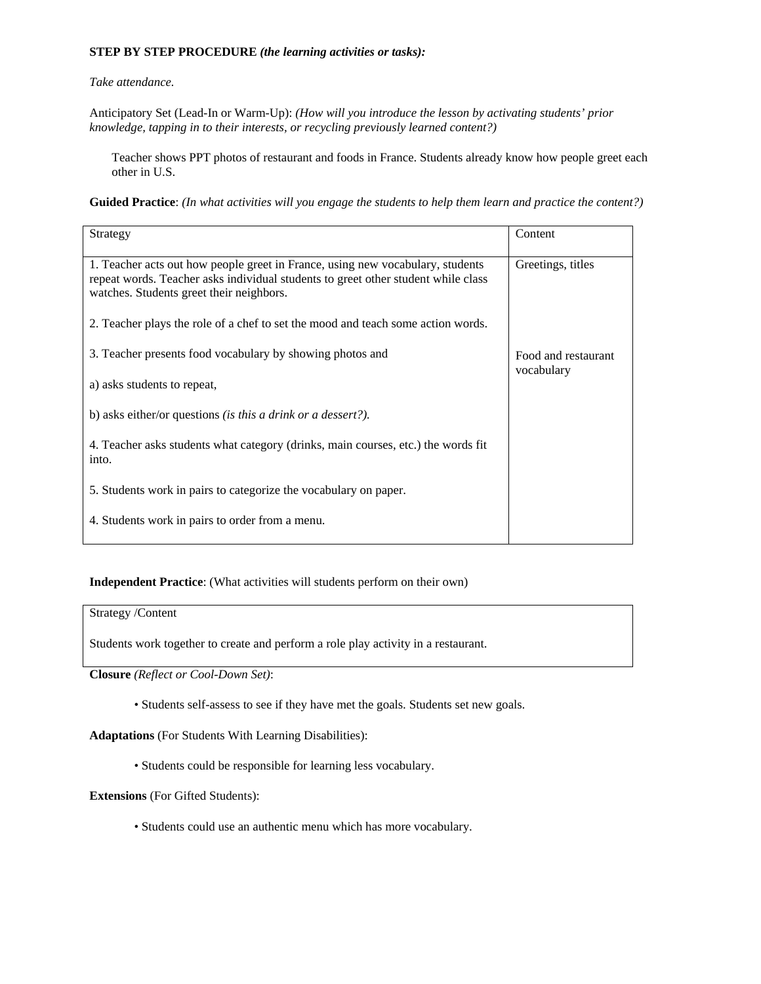# **STEP BY STEP PROCEDURE** *(the learning activities or tasks):*

## *Take attendance.*

Anticipatory Set (Lead-In or Warm-Up): *(How will you introduce the lesson by activating students' prior knowledge, tapping in to their interests, or recycling previously learned content?)* 

Teacher shows PPT photos of restaurant and foods in France. Students already know how people greet each other in U.S.

**Guided Practice**: *(In what activities will you engage the students to help them learn and practice the content?)* 

| Strategy                                                                                                                                                                                                        | Content                           |
|-----------------------------------------------------------------------------------------------------------------------------------------------------------------------------------------------------------------|-----------------------------------|
| 1. Teacher acts out how people greet in France, using new vocabulary, students<br>repeat words. Teacher asks individual students to greet other student while class<br>watches. Students greet their neighbors. | Greetings, titles                 |
| 2. Teacher plays the role of a chef to set the mood and teach some action words.                                                                                                                                |                                   |
| 3. Teacher presents food vocabulary by showing photos and                                                                                                                                                       | Food and restaurant<br>vocabulary |
| a) asks students to repeat,                                                                                                                                                                                     |                                   |
| b) asks either/or questions (is this a drink or a dessert?).                                                                                                                                                    |                                   |
| 4. Teacher asks students what category (drinks, main courses, etc.) the words fit<br>into.                                                                                                                      |                                   |
| 5. Students work in pairs to categorize the vocabulary on paper.                                                                                                                                                |                                   |
| 4. Students work in pairs to order from a menu.                                                                                                                                                                 |                                   |

# **Independent Practice**: (What activities will students perform on their own)

Strategy /Content

Students work together to create and perform a role play activity in a restaurant.

**Closure** *(Reflect or Cool-Down Set)*:

• Students self-assess to see if they have met the goals. Students set new goals.

**Adaptations** (For Students With Learning Disabilities):

• Students could be responsible for learning less vocabulary.

**Extensions** (For Gifted Students):

• Students could use an authentic menu which has more vocabulary.